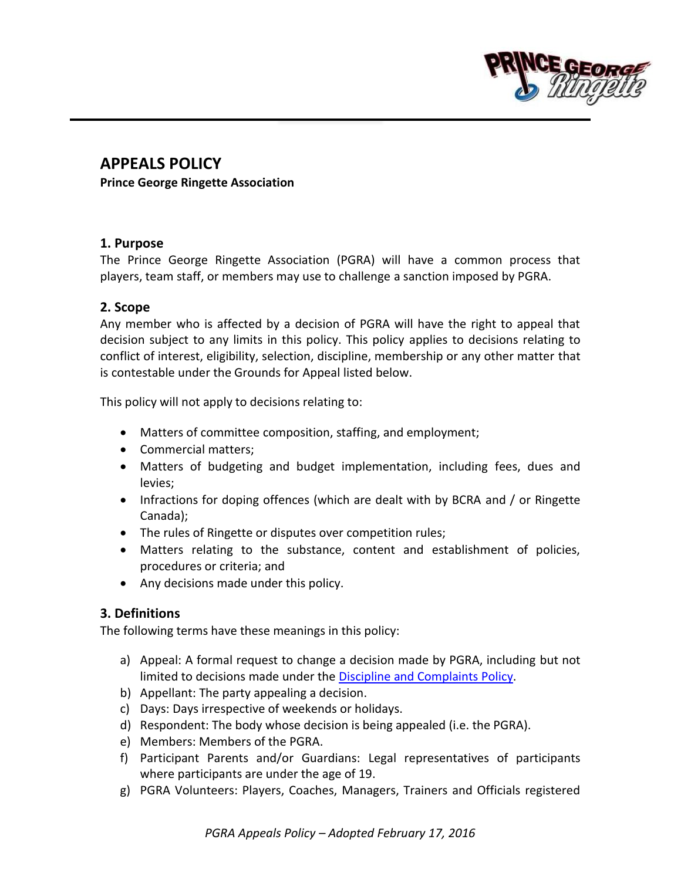

# **APPEALS POLICY**

**Prince George Ringette Association**

### **1. Purpose**

The Prince George Ringette Association (PGRA) will have a common process that players, team staff, or members may use to challenge a sanction imposed by PGRA.

### **2. Scope**

Any member who is affected by a decision of PGRA will have the right to appeal that decision subject to any limits in this policy. This policy applies to decisions relating to conflict of interest, eligibility, selection, discipline, membership or any other matter that is contestable under the Grounds for Appeal listed below.

This policy will not apply to decisions relating to:

- Matters of committee composition, staffing, and employment;
- Commercial matters;
- Matters of budgeting and budget implementation, including fees, dues and levies;
- Infractions for doping offences (which are dealt with by BCRA and / or Ringette Canada);
- The rules of Ringette or disputes over competition rules;
- Matters relating to the substance, content and establishment of policies, procedures or criteria; and
- Any decisions made under this policy.

# **3. Definitions**

The following terms have these meanings in this policy:

- a) Appeal: A formal request to change a decision made by PGRA, including but not limited to decisions made under the [Discipline and Complaints Policy.](http://www.pgringette.ca/wp-content/uploads/2016/03/PGRA-Discipline-and-Complaints-Policy.pdf)
- b) Appellant: The party appealing a decision.
- c) Days: Days irrespective of weekends or holidays.
- d) Respondent: The body whose decision is being appealed (i.e. the PGRA).
- e) Members: Members of the PGRA.
- f) Participant Parents and/or Guardians: Legal representatives of participants where participants are under the age of 19.
- g) PGRA Volunteers: Players, Coaches, Managers, Trainers and Officials registered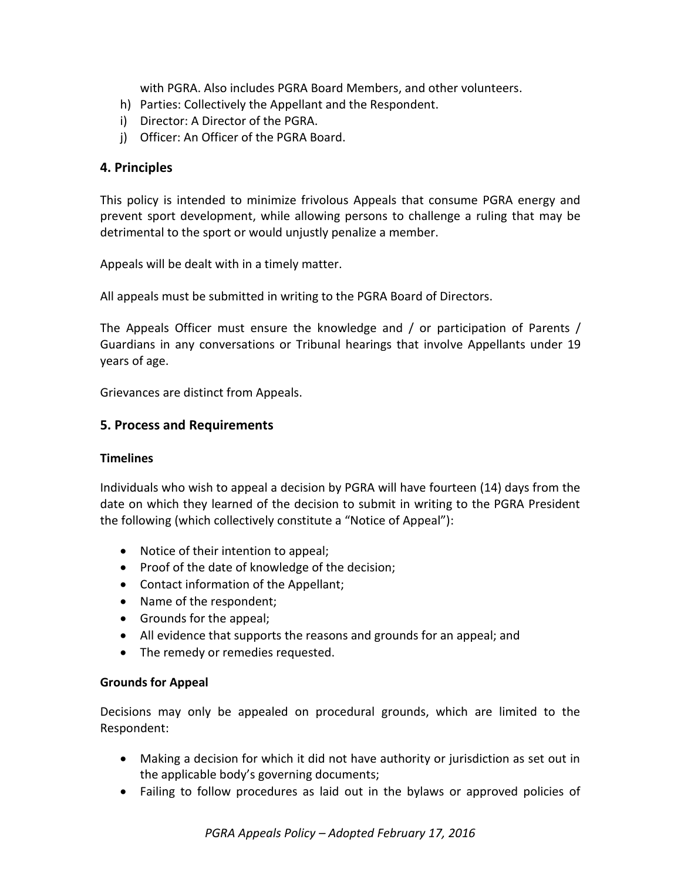with PGRA. Also includes PGRA Board Members, and other volunteers.

- h) Parties: Collectively the Appellant and the Respondent.
- i) Director: A Director of the PGRA.
- j) Officer: An Officer of the PGRA Board.

# **4. Principles**

This policy is intended to minimize frivolous Appeals that consume PGRA energy and prevent sport development, while allowing persons to challenge a ruling that may be detrimental to the sport or would unjustly penalize a member.

Appeals will be dealt with in a timely matter.

All appeals must be submitted in writing to the PGRA Board of Directors.

The Appeals Officer must ensure the knowledge and / or participation of Parents / Guardians in any conversations or Tribunal hearings that involve Appellants under 19 years of age.

Grievances are distinct from Appeals.

# **5. Process and Requirements**

### **Timelines**

Individuals who wish to appeal a decision by PGRA will have fourteen (14) days from the date on which they learned of the decision to submit in writing to the PGRA President the following (which collectively constitute a "Notice of Appeal"):

- Notice of their intention to appeal;
- Proof of the date of knowledge of the decision;
- Contact information of the Appellant;
- Name of the respondent;
- Grounds for the appeal;
- All evidence that supports the reasons and grounds for an appeal; and
- The remedy or remedies requested.

### **Grounds for Appeal**

Decisions may only be appealed on procedural grounds, which are limited to the Respondent:

- Making a decision for which it did not have authority or jurisdiction as set out in the applicable body's governing documents;
- Failing to follow procedures as laid out in the bylaws or approved policies of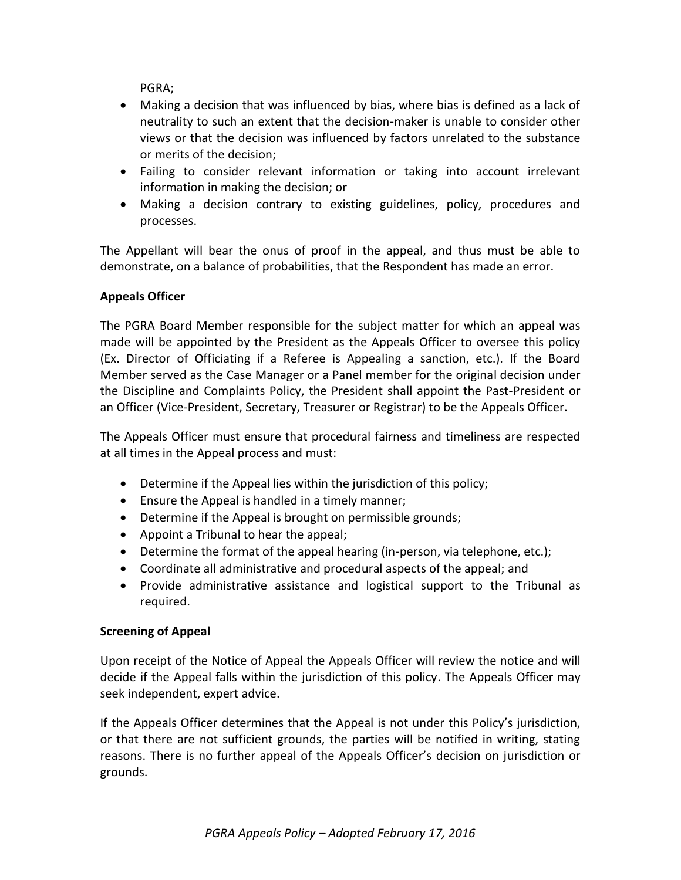PGRA;

- Making a decision that was influenced by bias, where bias is defined as a lack of neutrality to such an extent that the decision-maker is unable to consider other views or that the decision was influenced by factors unrelated to the substance or merits of the decision;
- Failing to consider relevant information or taking into account irrelevant information in making the decision; or
- Making a decision contrary to existing guidelines, policy, procedures and processes.

The Appellant will bear the onus of proof in the appeal, and thus must be able to demonstrate, on a balance of probabilities, that the Respondent has made an error.

# **Appeals Officer**

The PGRA Board Member responsible for the subject matter for which an appeal was made will be appointed by the President as the Appeals Officer to oversee this policy (Ex. Director of Officiating if a Referee is Appealing a sanction, etc.). If the Board Member served as the Case Manager or a Panel member for the original decision under the Discipline and Complaints Policy, the President shall appoint the Past-President or an Officer (Vice-President, Secretary, Treasurer or Registrar) to be the Appeals Officer.

The Appeals Officer must ensure that procedural fairness and timeliness are respected at all times in the Appeal process and must:

- Determine if the Appeal lies within the jurisdiction of this policy;
- Ensure the Appeal is handled in a timely manner;
- Determine if the Appeal is brought on permissible grounds;
- Appoint a Tribunal to hear the appeal;
- Determine the format of the appeal hearing (in-person, via telephone, etc.);
- Coordinate all administrative and procedural aspects of the appeal; and
- Provide administrative assistance and logistical support to the Tribunal as required.

# **Screening of Appeal**

Upon receipt of the Notice of Appeal the Appeals Officer will review the notice and will decide if the Appeal falls within the jurisdiction of this policy. The Appeals Officer may seek independent, expert advice.

If the Appeals Officer determines that the Appeal is not under this Policy's jurisdiction, or that there are not sufficient grounds, the parties will be notified in writing, stating reasons. There is no further appeal of the Appeals Officer's decision on jurisdiction or grounds.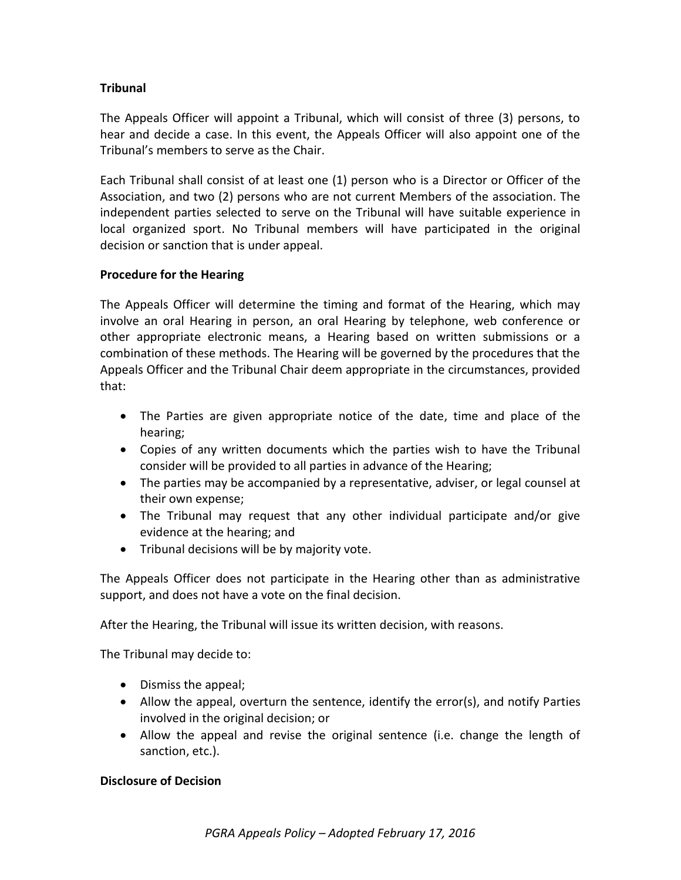# **Tribunal**

The Appeals Officer will appoint a Tribunal, which will consist of three (3) persons, to hear and decide a case. In this event, the Appeals Officer will also appoint one of the Tribunal's members to serve as the Chair.

Each Tribunal shall consist of at least one (1) person who is a Director or Officer of the Association, and two (2) persons who are not current Members of the association. The independent parties selected to serve on the Tribunal will have suitable experience in local organized sport. No Tribunal members will have participated in the original decision or sanction that is under appeal.

### **Procedure for the Hearing**

The Appeals Officer will determine the timing and format of the Hearing, which may involve an oral Hearing in person, an oral Hearing by telephone, web conference or other appropriate electronic means, a Hearing based on written submissions or a combination of these methods. The Hearing will be governed by the procedures that the Appeals Officer and the Tribunal Chair deem appropriate in the circumstances, provided that:

- The Parties are given appropriate notice of the date, time and place of the hearing;
- Copies of any written documents which the parties wish to have the Tribunal consider will be provided to all parties in advance of the Hearing;
- The parties may be accompanied by a representative, adviser, or legal counsel at their own expense;
- The Tribunal may request that any other individual participate and/or give evidence at the hearing; and
- Tribunal decisions will be by majority vote.

The Appeals Officer does not participate in the Hearing other than as administrative support, and does not have a vote on the final decision.

After the Hearing, the Tribunal will issue its written decision, with reasons.

The Tribunal may decide to:

- Dismiss the appeal;
- Allow the appeal, overturn the sentence, identify the error(s), and notify Parties involved in the original decision; or
- Allow the appeal and revise the original sentence (i.e. change the length of sanction, etc.).

### **Disclosure of Decision**